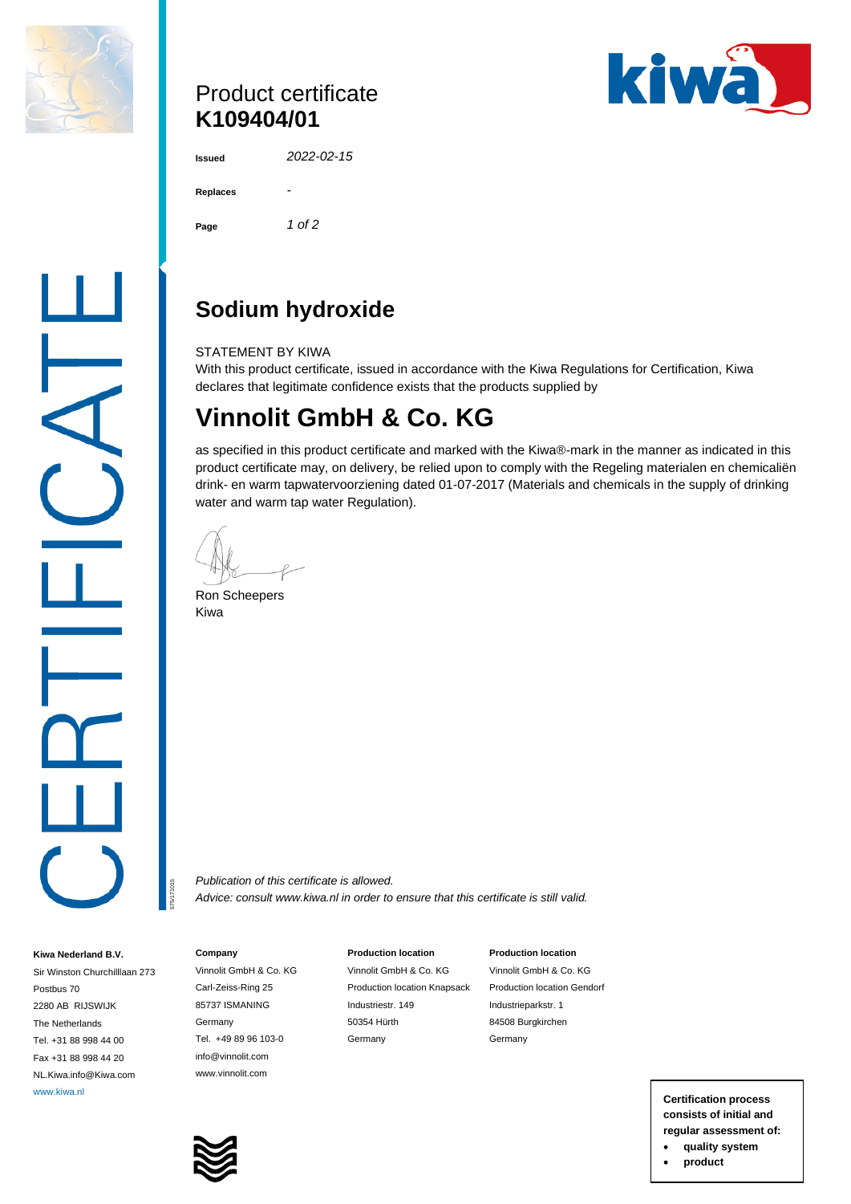

## Product certificate **K109404/01**



| Issued |  |
|--------|--|
|        |  |

**Issued** *2022-02-15*

**Replaces** *-* **Page** *1 of 2*

# **Sodium hydroxide**

STATEMENT BY KIWA

With this product certificate, issued in accordance with the Kiwa Regulations for Certification, Kiwa declares that legitimate confidence exists that the products supplied by

# **Vinnolit GmbH & Co. KG**

as specified in this product certificate and marked with the Kiwa®-mark in the manner as indicated in this product certificate may, on delivery, be relied upon to comply with the Regeling materialen en chemicaliën drink- en warm tapwatervoorziening dated 01-07-2017 (Materials and chemicals in the supply of drinking water and warm tap water Regulation).

Ron Scheepers Kiwa

*Publication of this certificate is allowed. Advice: consult www.kiwa.nl in order to ensure that this certificate is still valid.*

#### **Company**

575/171015

**Kiwa Nederland B.V.** Sir Winston Churchilllaan 273

Postbus 70 2280 AB RIJSWIJK The Netherlands Tel. +31 88 998 44 00 Fax +31 88 998 44 20 NL.Kiwa.info@Kiwa.com Vinnolit GmbH & Co. KG Carl-Zeiss-Ring 25 85737 ISMANING Germany Tel. +49 89 96 103-0 info@vinnolit.com www.vinnolit.com

#### **Production location**

Vinnolit GmbH & Co. KG Production location Knapsack Industriestr. 149 50354 Hürth Germany

Vinnolit GmbH & Co. KG Production location Gendorf Industrieparkstr. 1 84508 Burgkirchen Germany

**Production location**

www.kiwa.nl **Certification process consists of initial and regular assessment of:** • **quality system**

• **product**